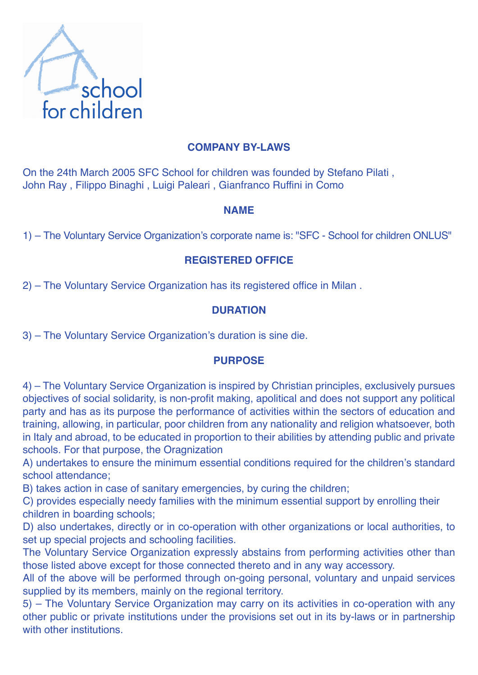

## **COMPANY BY-LAWS**

On the 24th March 2005 SFC School for children was founded by Stefano Pilati , John Ray , Filippo Binaghi , Luigi Paleari , Gianfranco Ruffini in Como

### **NAME**

1) – The Voluntary Service Organization's corporate name is: "SFC - School for children ONLUS"

### **REGISTERED OFFICE**

2) – The Voluntary Service Organization has its registered office in Milan .

### **DURATION**

3) – The Voluntary Service Organization's duration is sine die.

### **PURPOSE**

4) – The Voluntary Service Organization is inspired by Christian principles, exclusively pursues objectives of social solidarity, is non-profit making, apolitical and does not support any political party and has as its purpose the performance of activities within the sectors of education and training, allowing, in particular, poor children from any nationality and religion whatsoever, both in Italy and abroad, to be educated in proportion to their abilities by attending public and private schools. For that purpose, the Oragnization

A) undertakes to ensure the minimum essential conditions required for the children's standard school attendance;

B) takes action in case of sanitary emergencies, by curing the children;

C) provides especially needy families with the minimum essential support by enrolling their children in boarding schools;

D) also undertakes, directly or in co-operation with other organizations or local authorities, to set up special projects and schooling facilities.

The Voluntary Service Organization expressly abstains from performing activities other than those listed above except for those connected thereto and in any way accessory.

All of the above will be performed through on-going personal, voluntary and unpaid services supplied by its members, mainly on the regional territory.

5) – The Voluntary Service Organization may carry on its activities in co-operation with any other public or private institutions under the provisions set out in its by-laws or in partnership with other institutions.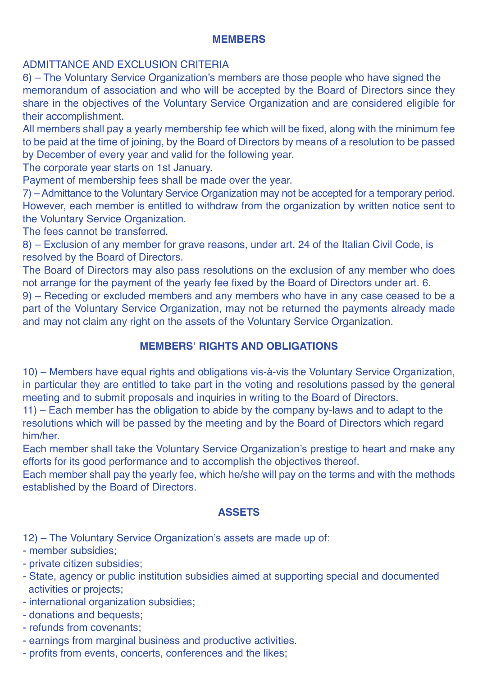#### **MEMBERS**

## ADMITTANCE AND EXCLUSION CRITERIA

6) – The Voluntary Service Organization's members are those people who have signed the memorandum of association and who will be accepted by the Board of Directors since they share in the objectives of the Voluntary Service Organization and are considered eligible for their accomplishment.

All members shall pay a yearly membership fee which will be fixed, along with the minimum fee to be paid at the time of joining, by the Board of Directors by means of a resolution to be passed by December of every year and valid for the following year.

The corporate year starts on 1st January.

Payment of membership fees shall be made over the year.

7) –Admittance to the Voluntary Service Organization may not be accepted for a temporary period. However, each member is entitled to withdraw from the organization by written notice sent to the Voluntary Service Organization.

The fees cannot be transferred.

8) – Exclusion of any member for grave reasons, under art. 24 of the Italian Civil Code, is resolved by the Board of Directors.

The Board of Directors may also pass resolutions on the exclusion of any member who does not arrange for the payment of the yearly fee fixed by the Board of Directors under art. 6.

9) – Receding or excluded members and any members who have in any case ceased to be a part of the Voluntary Service Organization, may not be returned the payments already made and may not claim any right on the assets of the Voluntary Service Organization.

# **MEMBERS' RIGHTS AND OBLIGATIONS**

10) – Members have equal rights and obligations vis-à-vis the Voluntary Service Organization, in particular they are entitled to take part in the voting and resolutions passed by the general meeting and to submit proposals and inquiries in writing to the Board of Directors.

11) – Each member has the obligation to abide by the company by-laws and to adapt to the resolutions which will be passed by the meeting and by the Board of Directors which regard him/her.

Each member shall take the Voluntary Service Organization's prestige to heart and make any efforts for its good performance and to accomplish the objectives thereof.

Each member shall pay the yearly fee, which he/she will pay on the terms and with the methods established by the Board of Directors.

### **ASSETS**

12) – The Voluntary Service Organization's assets are made up of:

- member subsidies;
- private citizen subsidies;
- State, agency or public institution subsidies aimed at supporting special and documented activities or projects;
- international organization subsidies;
- donations and bequests;
- refunds from covenants;
- earnings from marginal business and productive activities.
- profits from events, concerts, conferences and the likes;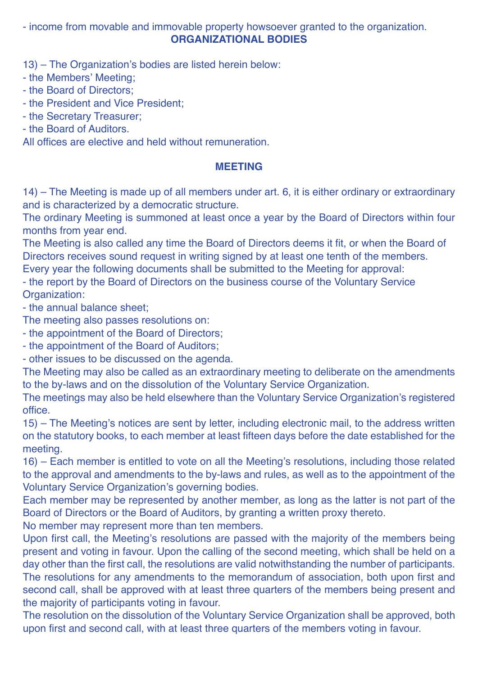- income from movable and immovable property howsoever granted to the organization. **ORGANIZATIONAL BODIES**

13) – The Organization's bodies are listed herein below:

- the Members' Meeting;
- the Board of Directors;
- the President and Vice President;
- the Secretary Treasurer;
- the Board of Auditors.

All offices are elective and held without remuneration.

### **MEETING**

14) – The Meeting is made up of all members under art. 6, it is either ordinary or extraordinary and is characterized by a democratic structure.

The ordinary Meeting is summoned at least once a year by the Board of Directors within four months from year end.

The Meeting is also called any time the Board of Directors deems it fit, or when the Board of Directors receives sound request in writing signed by at least one tenth of the members.

Every year the following documents shall be submitted to the Meeting for approval:

- the report by the Board of Directors on the business course of the Voluntary Service Organization:

- the annual balance sheet;

The meeting also passes resolutions on:

- the appointment of the Board of Directors;

- the appointment of the Board of Auditors;

- other issues to be discussed on the agenda.

The Meeting may also be called as an extraordinary meeting to deliberate on the amendments to the by-laws and on the dissolution of the Voluntary Service Organization.

The meetings may also be held elsewhere than the Voluntary Service Organization's registered office.

15) – The Meeting's notices are sent by letter, including electronic mail, to the address written on the statutory books, to each member at least fifteen days before the date established for the meeting.

16) – Each member is entitled to vote on all the Meeting's resolutions, including those related to the approval and amendments to the by-laws and rules, as well as to the appointment of the Voluntary Service Organization's governing bodies.

Each member may be represented by another member, as long as the latter is not part of the Board of Directors or the Board of Auditors, by granting a written proxy thereto.

No member may represent more than ten members.

Upon first call, the Meeting's resolutions are passed with the majority of the members being present and voting in favour. Upon the calling of the second meeting, which shall be held on a day other than the first call, the resolutions are valid notwithstanding the number of participants. The resolutions for any amendments to the memorandum of association, both upon first and second call, shall be approved with at least three quarters of the members being present and the majority of participants voting in favour.

The resolution on the dissolution of the Voluntary Service Organization shall be approved, both upon first and second call, with at least three quarters of the members voting in favour.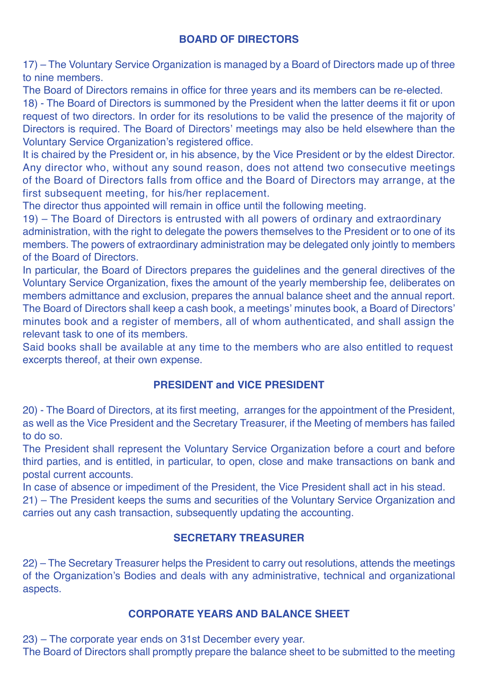### **BOARD OF DIRECTORS**

17) – The Voluntary Service Organization is managed by a Board of Directors made up of three to nine members.

The Board of Directors remains in office for three years and its members can be re-elected.

18) - The Board of Directors is summoned by the President when the latter deems it fit or upon request of two directors. In order for its resolutions to be valid the presence of the majority of Directors is required. The Board of Directors' meetings may also be held elsewhere than the Voluntary Service Organization's registered office.

It is chaired by the President or, in his absence, by the Vice President or by the eldest Director. Any director who, without any sound reason, does not attend two consecutive meetings of the Board of Directors falls from office and the Board of Directors may arrange, at the first subsequent meeting, for his/her replacement.

The director thus appointed will remain in office until the following meeting.

19) – The Board of Directors is entrusted with all powers of ordinary and extraordinary administration, with the right to delegate the powers themselves to the President or to one of its members. The powers of extraordinary administration may be delegated only jointly to members of the Board of Directors.

In particular, the Board of Directors prepares the guidelines and the general directives of the Voluntary Service Organization, fixes the amount of the yearly membership fee, deliberates on members admittance and exclusion, prepares the annual balance sheet and the annual report. The Board of Directors shall keep a cash book, a meetings' minutes book, a Board of Directors' minutes book and a register of members, all of whom authenticated, and shall assign the relevant task to one of its members.

Said books shall be available at any time to the members who are also entitled to request excerpts thereof, at their own expense.

# **PRESIDENT and VICE PRESIDENT**

20) - The Board of Directors, at its first meeting, arranges for the appointment of the President, as well as the Vice President and the Secretary Treasurer, if the Meeting of members has failed to do so.

The President shall represent the Voluntary Service Organization before a court and before third parties, and is entitled, in particular, to open, close and make transactions on bank and postal current accounts.

In case of absence or impediment of the President, the Vice President shall act in his stead.

21) – The President keeps the sums and securities of the Voluntary Service Organization and carries out any cash transaction, subsequently updating the accounting.

#### **SECRETARY TREASURER**

22) – The Secretary Treasurer helps the President to carry out resolutions, attends the meetings of the Organization's Bodies and deals with any administrative, technical and organizational aspects.

# **CORPORATE YEARS AND BALANCE SHEET**

23) – The corporate year ends on 31st December every year.

The Board of Directors shall promptly prepare the balance sheet to be submitted to the meeting